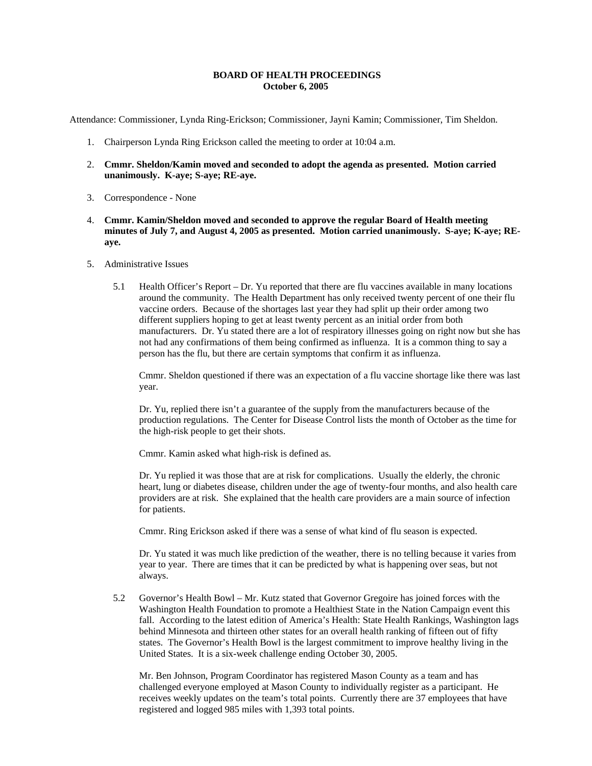### **BOARD OF HEALTH PROCEEDINGS October 6, 2005**

Attendance: Commissioner, Lynda Ring-Erickson; Commissioner, Jayni Kamin; Commissioner, Tim Sheldon.

- 1. Chairperson Lynda Ring Erickson called the meeting to order at 10:04 a.m.
- 2. **Cmmr. Sheldon/Kamin moved and seconded to adopt the agenda as presented. Motion carried unanimously. K-aye; S-aye; RE-aye.**
- 3. Correspondence None
- 4. **Cmmr. Kamin/Sheldon moved and seconded to approve the regular Board of Health meeting minutes of July 7, and August 4, 2005 as presented. Motion carried unanimously. S-aye; K-aye; REaye.**
- 5. Administrative Issues
	- 5.1 Health Officer's Report Dr. Yu reported that there are flu vaccines available in many locations around the community. The Health Department has only received twenty percent of one their flu vaccine orders. Because of the shortages last year they had split up their order among two different suppliers hoping to get at least twenty percent as an initial order from both manufacturers. Dr. Yu stated there are a lot of respiratory illnesses going on right now but she has not had any confirmations of them being confirmed as influenza. It is a common thing to say a person has the flu, but there are certain symptoms that confirm it as influenza.

Cmmr. Sheldon questioned if there was an expectation of a flu vaccine shortage like there was last year.

Dr. Yu, replied there isn't a guarantee of the supply from the manufacturers because of the production regulations. The Center for Disease Control lists the month of October as the time for the high-risk people to get their shots.

Cmmr. Kamin asked what high-risk is defined as.

Dr. Yu replied it was those that are at risk for complications. Usually the elderly, the chronic heart, lung or diabetes disease, children under the age of twenty-four months, and also health care providers are at risk. She explained that the health care providers are a main source of infection for patients.

Cmmr. Ring Erickson asked if there was a sense of what kind of flu season is expected.

Dr. Yu stated it was much like prediction of the weather, there is no telling because it varies from year to year. There are times that it can be predicted by what is happening over seas, but not always.

5.2 Governor's Health Bowl – Mr. Kutz stated that Governor Gregoire has joined forces with the Washington Health Foundation to promote a Healthiest State in the Nation Campaign event this fall. According to the latest edition of America's Health: State Health Rankings, Washington lags behind Minnesota and thirteen other states for an overall health ranking of fifteen out of fifty states. The Governor's Health Bowl is the largest commitment to improve healthy living in the United States. It is a six-week challenge ending October 30, 2005.

Mr. Ben Johnson, Program Coordinator has registered Mason County as a team and has challenged everyone employed at Mason County to individually register as a participant. He receives weekly updates on the team's total points. Currently there are 37 employees that have registered and logged 985 miles with 1,393 total points.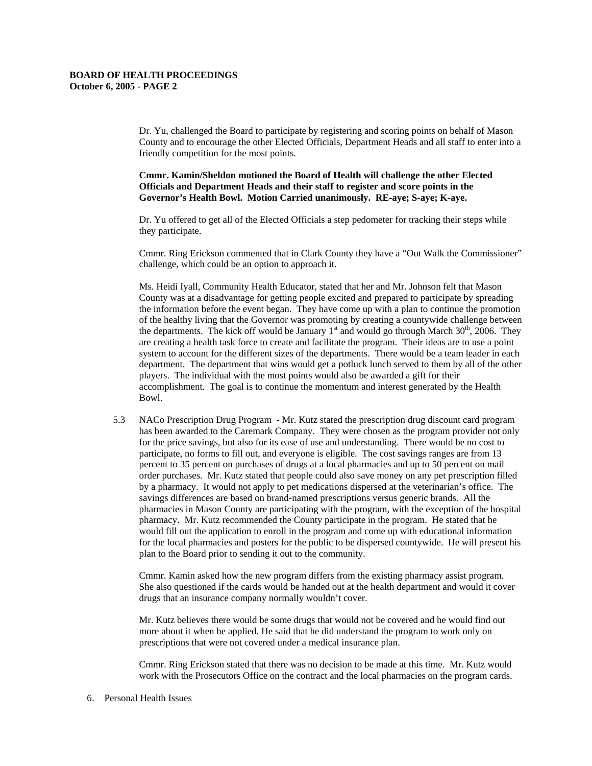Dr. Yu, challenged the Board to participate by registering and scoring points on behalf of Mason County and to encourage the other Elected Officials, Department Heads and all staff to enter into a friendly competition for the most points.

**Cmmr. Kamin/Sheldon motioned the Board of Health will challenge the other Elected Officials and Department Heads and their staff to register and score points in the Governor's Health Bowl. Motion Carried unanimously. RE-aye; S-aye; K-aye.**

Dr. Yu offered to get all of the Elected Officials a step pedometer for tracking their steps while they participate.

Cmmr. Ring Erickson commented that in Clark County they have a "Out Walk the Commissioner" challenge, which could be an option to approach it.

Ms. Heidi Iyall, Community Health Educator, stated that her and Mr. Johnson felt that Mason County was at a disadvantage for getting people excited and prepared to participate by spreading the information before the event began. They have come up with a plan to continue the promotion of the healthy living that the Governor was promoting by creating a countywide challenge between the departments. The kick off would be January  $1<sup>st</sup>$  and would go through March 30<sup>th</sup>, 2006. They are creating a health task force to create and facilitate the program. Their ideas are to use a point system to account for the different sizes of the departments. There would be a team leader in each department. The department that wins would get a potluck lunch served to them by all of the other players. The individual with the most points would also be awarded a gift for their accomplishment. The goal is to continue the momentum and interest generated by the Health Bowl.

5.3 NACo Prescription Drug Program - Mr. Kutz stated the prescription drug discount card program has been awarded to the Caremark Company. They were chosen as the program provider not only for the price savings, but also for its ease of use and understanding. There would be no cost to participate, no forms to fill out, and everyone is eligible. The cost savings ranges are from 13 percent to 35 percent on purchases of drugs at a local pharmacies and up to 50 percent on mail order purchases. Mr. Kutz stated that people could also save money on any pet prescription filled by a pharmacy. It would not apply to pet medications dispersed at the veterinarian's office. The savings differences are based on brand-named prescriptions versus generic brands. All the pharmacies in Mason County are participating with the program, with the exception of the hospital pharmacy. Mr. Kutz recommended the County participate in the program. He stated that he would fill out the application to enroll in the program and come up with educational information for the local pharmacies and posters for the public to be dispersed countywide. He will present his plan to the Board prior to sending it out to the community.

Cmmr. Kamin asked how the new program differs from the existing pharmacy assist program. She also questioned if the cards would be handed out at the health department and would it cover drugs that an insurance company normally wouldn't cover.

Mr. Kutz believes there would be some drugs that would not be covered and he would find out more about it when he applied. He said that he did understand the program to work only on prescriptions that were not covered under a medical insurance plan.

Cmmr. Ring Erickson stated that there was no decision to be made at this time. Mr. Kutz would work with the Prosecutors Office on the contract and the local pharmacies on the program cards.

6. Personal Health Issues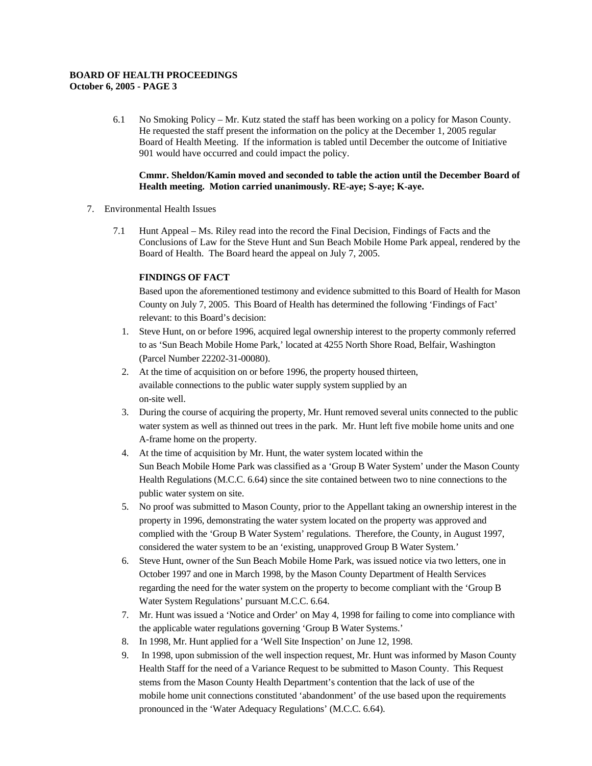### **BOARD OF HEALTH PROCEEDINGS October 6, 2005 - PAGE 3**

6.1 No Smoking Policy – Mr. Kutz stated the staff has been working on a policy for Mason County. He requested the staff present the information on the policy at the December 1, 2005 regular Board of Health Meeting. If the information is tabled until December the outcome of Initiative 901 would have occurred and could impact the policy.

## **Cmmr. Sheldon/Kamin moved and seconded to table the action until the December Board of Health meeting. Motion carried unanimously. RE-aye; S-aye; K-aye.**

- 7. Environmental Health Issues
	- 7.1 Hunt Appeal Ms. Riley read into the record the Final Decision, Findings of Facts and the Conclusions of Law for the Steve Hunt and Sun Beach Mobile Home Park appeal, rendered by the Board of Health. The Board heard the appeal on July 7, 2005.

# **FINDINGS OF FACT**

Based upon the aforementioned testimony and evidence submitted to this Board of Health for Mason County on July 7, 2005. This Board of Health has determined the following 'Findings of Fact' relevant: to this Board's decision:

- 1. Steve Hunt, on or before 1996, acquired legal ownership interest to the property commonly referred to as 'Sun Beach Mobile Home Park,' located at 4255 North Shore Road, Belfair, Washington (Parcel Number 22202-31-00080).
- 2. At the time of acquisition on or before 1996, the property housed thirteen, available connections to the public water supply system supplied by an on-site well.
- 3. During the course of acquiring the property, Mr. Hunt removed several units connected to the public water system as well as thinned out trees in the park. Mr. Hunt left five mobile home units and one A-frame home on the property.
- 4. At the time of acquisition by Mr. Hunt, the water system located within the Sun Beach Mobile Home Park was classified as a 'Group B Water System' under the Mason County Health Regulations (M.C.C. 6.64) since the site contained between two to nine connections to the public water system on site.
- 5. No proof was submitted to Mason County, prior to the Appellant taking an ownership interest in the property in 1996, demonstrating the water system located on the property was approved and complied with the 'Group B Water System' regulations. Therefore, the County, in August 1997, considered the water system to be an 'existing, unapproved Group B Water System.'
- 6. Steve Hunt, owner of the Sun Beach Mobile Home Park, was issued notice via two letters, one in October 1997 and one in March 1998, by the Mason County Department of Health Services regarding the need for the water system on the property to become compliant with the 'Group B Water System Regulations' pursuant M.C.C. 6.64.
- 7. Mr. Hunt was issued a 'Notice and Order' on May 4, 1998 for failing to come into compliance with the applicable water regulations governing 'Group B Water Systems.'
- 8. In 1998, Mr. Hunt applied for a 'Well Site Inspection' on June 12, 1998.
- 9. In 1998, upon submission of the well inspection request, Mr. Hunt was informed by Mason County Health Staff for the need of a Variance Request to be submitted to Mason County. This Request stems from the Mason County Health Department's contention that the lack of use of the mobile home unit connections constituted 'abandonment' of the use based upon the requirements pronounced in the 'Water Adequacy Regulations' (M.C.C. 6.64).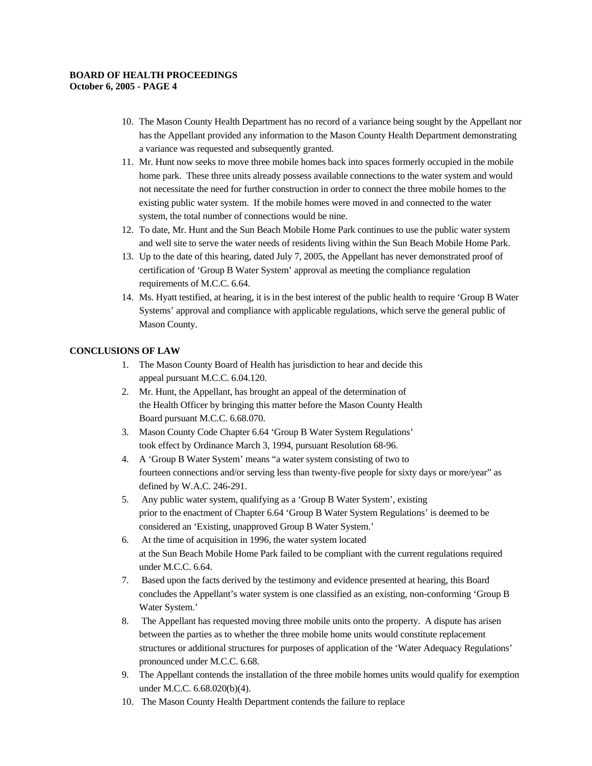#### **BOARD OF HEALTH PROCEEDINGS October 6, 2005 - PAGE 4**

- 10. The Mason County Health Department has no record of a variance being sought by the Appellant nor has the Appellant provided any information to the Mason County Health Department demonstrating a variance was requested and subsequently granted.
- 11. Mr. Hunt now seeks to move three mobile homes back into spaces formerly occupied in the mobile home park. These three units already possess available connections to the water system and would not necessitate the need for further construction in order to connect the three mobile homes to the existing public water system. If the mobile homes were moved in and connected to the water system, the total number of connections would be nine.
- 12. To date, Mr. Hunt and the Sun Beach Mobile Home Park continues to use the public water system and well site to serve the water needs of residents living within the Sun Beach Mobile Home Park.
- 13. Up to the date of this hearing, dated July 7, 2005, the Appellant has never demonstrated proof of certification of 'Group B Water System' approval as meeting the compliance regulation requirements of M.C.C. 6.64.
- 14. Ms. Hyatt testified, at hearing, it is in the best interest of the public health to require 'Group B Water Systems' approval and compliance with applicable regulations, which serve the general public of Mason County.

## **CONCLUSIONS OF LAW**

- 1. The Mason County Board of Health has jurisdiction to hear and decide this appeal pursuant M.C.C. 6.04.120.
- 2. Mr. Hunt, the Appellant, has brought an appeal of the determination of the Health Officer by bringing this matter before the Mason County Health Board pursuant M.C.C. 6.68.070.
- 3. Mason County Code Chapter 6.64 'Group B Water System Regulations' took effect by Ordinance March 3, 1994, pursuant Resolution 68-96.
- 4. A 'Group B Water System' means "a water system consisting of two to fourteen connections and/or serving less than twenty-five people for sixty days or more/year" as defined by W.A.C. 246-291.
- 5. Any public water system, qualifying as a 'Group B Water System', existing prior to the enactment of Chapter 6.64 'Group B Water System Regulations' is deemed to be considered an 'Existing, unapproved Group B Water System.'
- 6. At the time of acquisition in 1996, the water system located at the Sun Beach Mobile Home Park failed to be compliant with the current regulations required under M.C.C. 6.64.
- 7. Based upon the facts derived by the testimony and evidence presented at hearing, this Board concludes the Appellant's water system is one classified as an existing, non-conforming 'Group B Water System.'
- 8. The Appellant has requested moving three mobile units onto the property. A dispute has arisen between the parties as to whether the three mobile home units would constitute replacement structures or additional structures for purposes of application of the 'Water Adequacy Regulations' pronounced under M.C.C. 6.68.
- 9. The Appellant contends the installation of the three mobile homes units would qualify for exemption under M.C.C. 6.68.020(b)(4).
- 10. The Mason County Health Department contends the failure to replace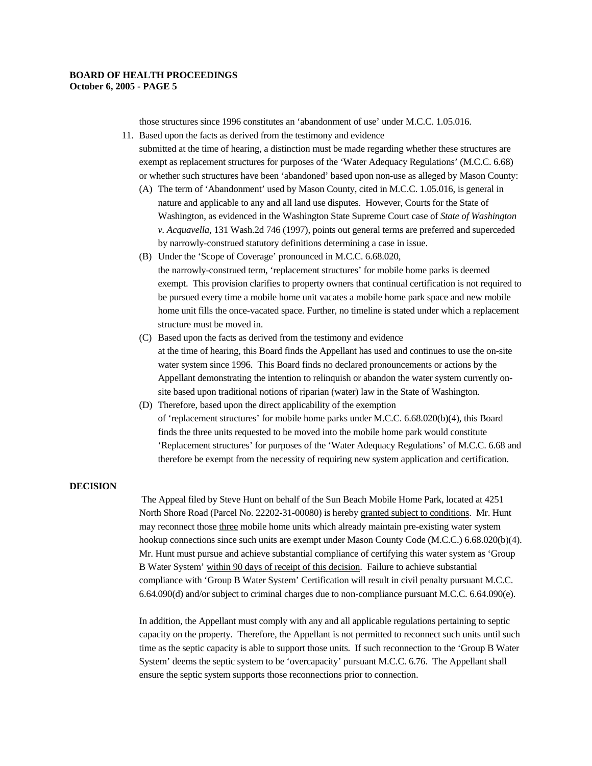those structures since 1996 constitutes an 'abandonment of use' under M.C.C. 1.05.016.

11. Based upon the facts as derived from the testimony and evidence

submitted at the time of hearing, a distinction must be made regarding whether these structures are exempt as replacement structures for purposes of the 'Water Adequacy Regulations' (M.C.C. 6.68) or whether such structures have been 'abandoned' based upon non-use as alleged by Mason County:

- (A) The term of 'Abandonment' used by Mason County, cited in M.C.C. 1.05.016, is general in nature and applicable to any and all land use disputes. However, Courts for the State of Washington, as evidenced in the Washington State Supreme Court case of *State of Washington v. Acquavella,* 131 Wash.2d 746 (1997), points out general terms are preferred and superceded by narrowly-construed statutory definitions determining a case in issue.
- (B) Under the 'Scope of Coverage' pronounced in M.C.C. 6.68.020, the narrowly-construed term, 'replacement structures' for mobile home parks is deemed exempt. This provision clarifies to property owners that continual certification is not required to be pursued every time a mobile home unit vacates a mobile home park space and new mobile home unit fills the once-vacated space. Further, no timeline is stated under which a replacement structure must be moved in.
- (C) Based upon the facts as derived from the testimony and evidence at the time of hearing, this Board finds the Appellant has used and continues to use the on-site water system since 1996. This Board finds no declared pronouncements or actions by the Appellant demonstrating the intention to relinquish or abandon the water system currently onsite based upon traditional notions of riparian (water) law in the State of Washington.
- (D) Therefore, based upon the direct applicability of the exemption of 'replacement structures' for mobile home parks under M.C.C. 6.68.020(b)(4), this Board finds the three units requested to be moved into the mobile home park would constitute 'Replacement structures' for purposes of the 'Water Adequacy Regulations' of M.C.C. 6.68 and therefore be exempt from the necessity of requiring new system application and certification.

## **DECISION**

 The Appeal filed by Steve Hunt on behalf of the Sun Beach Mobile Home Park, located at 4251 North Shore Road (Parcel No. 22202-31-00080) is hereby granted subject to conditions. Mr. Hunt may reconnect those three mobile home units which already maintain pre-existing water system hookup connections since such units are exempt under Mason County Code (M.C.C.) 6.68.020(b)(4). Mr. Hunt must pursue and achieve substantial compliance of certifying this water system as 'Group B Water System' within 90 days of receipt of this decision. Failure to achieve substantial compliance with 'Group B Water System' Certification will result in civil penalty pursuant M.C.C. 6.64.090(d) and/or subject to criminal charges due to non-compliance pursuant M.C.C. 6.64.090(e).

In addition, the Appellant must comply with any and all applicable regulations pertaining to septic capacity on the property. Therefore, the Appellant is not permitted to reconnect such units until such time as the septic capacity is able to support those units. If such reconnection to the 'Group B Water System' deems the septic system to be 'overcapacity' pursuant M.C.C. 6.76. The Appellant shall ensure the septic system supports those reconnections prior to connection.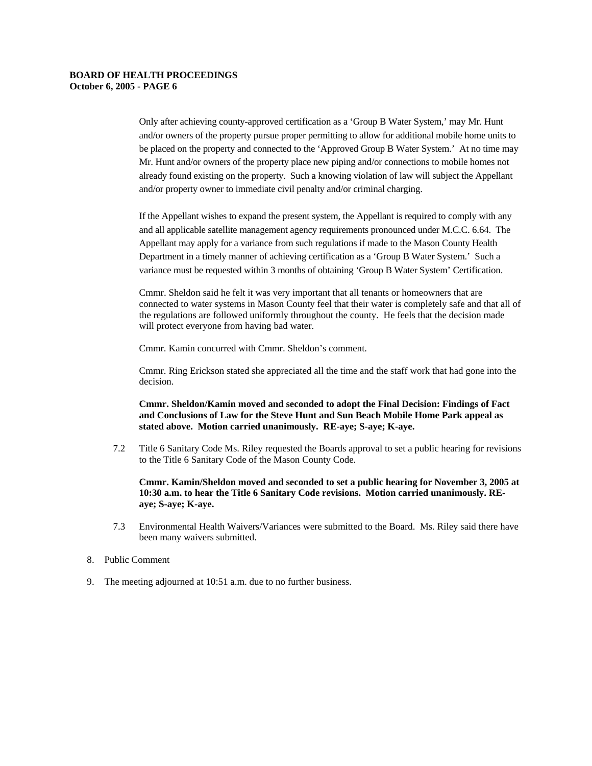Only after achieving county-approved certification as a 'Group B Water System,' may Mr. Hunt and/or owners of the property pursue proper permitting to allow for additional mobile home units to be placed on the property and connected to the 'Approved Group B Water System.' At no time may Mr. Hunt and/or owners of the property place new piping and/or connections to mobile homes not already found existing on the property. Such a knowing violation of law will subject the Appellant and/or property owner to immediate civil penalty and/or criminal charging.

If the Appellant wishes to expand the present system, the Appellant is required to comply with any and all applicable satellite management agency requirements pronounced under M.C.C. 6.64. The Appellant may apply for a variance from such regulations if made to the Mason County Health Department in a timely manner of achieving certification as a 'Group B Water System.' Such a variance must be requested within 3 months of obtaining 'Group B Water System' Certification.

Cmmr. Sheldon said he felt it was very important that all tenants or homeowners that are connected to water systems in Mason County feel that their water is completely safe and that all of the regulations are followed uniformly throughout the county. He feels that the decision made will protect everyone from having bad water.

Cmmr. Kamin concurred with Cmmr. Sheldon's comment.

Cmmr. Ring Erickson stated she appreciated all the time and the staff work that had gone into the decision.

**Cmmr. Sheldon/Kamin moved and seconded to adopt the Final Decision: Findings of Fact and Conclusions of Law for the Steve Hunt and Sun Beach Mobile Home Park appeal as stated above. Motion carried unanimously. RE-aye; S-aye; K-aye.**

7.2 Title 6 Sanitary Code Ms. Riley requested the Boards approval to set a public hearing for revisions to the Title 6 Sanitary Code of the Mason County Code.

**Cmmr. Kamin/Sheldon moved and seconded to set a public hearing for November 3, 2005 at 10:30 a.m. to hear the Title 6 Sanitary Code revisions. Motion carried unanimously. REaye; S-aye; K-aye.** 

- 7.3 Environmental Health Waivers/Variances were submitted to the Board. Ms. Riley said there have been many waivers submitted.
- 8. Public Comment
- 9. The meeting adjourned at 10:51 a.m. due to no further business.